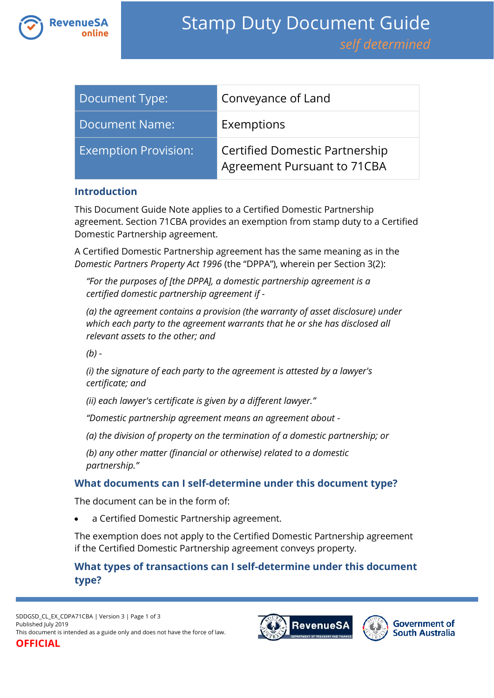

| Document Type:              | Conveyance of Land                                                   |
|-----------------------------|----------------------------------------------------------------------|
| Document Name:              | Exemptions                                                           |
| <b>Exemption Provision:</b> | <b>Certified Domestic Partnership</b><br>Agreement Pursuant to 71CBA |

#### **Introduction**

This Document Guide Note applies to a Certified Domestic Partnership agreement. Section 71CBA provides an exemption from stamp duty to a Certified Domestic Partnership agreement.

A Certified Domestic Partnership agreement has the same meaning as in the *Domestic Partners Property Act 1996* (the "DPPA"), wherein per Section 3(2):

*"For the purposes of [the DPPA], a domestic partnership agreement is a certified domestic partnership agreement if -*

*(a) the agreement contains a provision (the warranty of asset disclosure) under which each party to the agreement warrants that he or she has disclosed all relevant assets to the other; and*

*(b) -*

*(i) the signature of each party to the agreement is attested by a lawyer's certificate; and*

*(ii) each lawyer's certificate is given by a different lawyer."*

*"Domestic partnership agreement means an agreement about -*

*(a) the division of property on the termination of a domestic partnership; or*

*(b) any other matter (financial or otherwise) related to a domestic partnership."*

## **What documents can I self-determine under this document type?**

The document can be in the form of:

a Certified Domestic Partnership agreement.

The exemption does not apply to the Certified Domestic Partnership agreement if the Certified Domestic Partnership agreement conveys property.

# **What types of transactions can I self-determine under this document type?**

SDDGSD\_CL\_EX\_CDPA71CBA | Version 3 | Page 1 of 3 Published July 2019 This document is intended as a guide only and does not have the force of law. **OFFICIAL**



**Government of South Australia**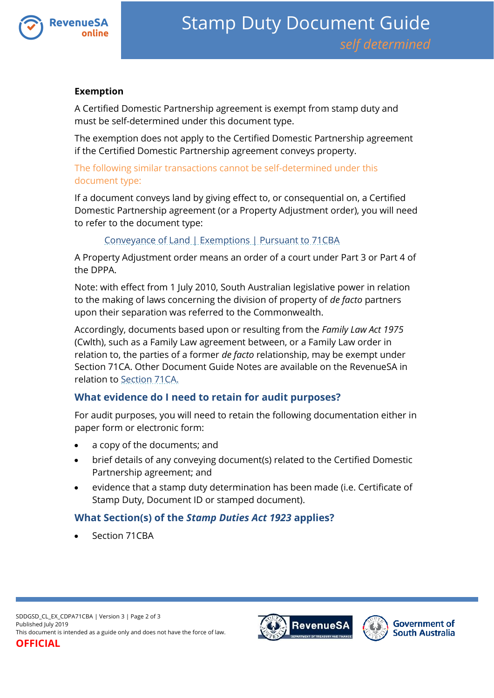

#### **Exemption**

A Certified Domestic Partnership agreement is exempt from stamp duty and must be self-determined under this document type.

The exemption does not apply to the Certified Domestic Partnership agreement if the Certified Domestic Partnership agreement conveys property.

#### The following similar transactions cannot be self-determined under this document type:

If a document conveys land by giving effect to, or consequential on, a Certified Domestic Partnership agreement (or a Property Adjustment order), you will need to refer to the document type:

## [Conveyance of Land | Exemptions | Pursuant to 71CBA](https://www.revenuesa.sa.gov.au/stampduty/stamp-duty-document-guide/self-determined/conveyance-of-land-exemptions/sddgsd_cl_ex_71cba)

A Property Adjustment order means an order of a court under Part 3 or Part 4 of the DPPA.

Note: with effect from 1 July 2010, South Australian legislative power in relation to the making of laws concerning the division of property of *de facto* partners upon their separation was referred to the Commonwealth.

Accordingly, documents based upon or resulting from the *Family Law Act 1975* (Cwlth), such as a Family Law agreement between, or a Family Law order in relation to, the parties of a former *de facto* relationship, may be exempt under Section 71CA. Other Document Guide Notes are available on the RevenueSA in relation to [Section 71CA.](https://www.revenuesa.sa.gov.au/stampduty/stamp-duty-document-guide/self-determined/conveyance-of-land-exemptions/sddgsd_cl_ex_71ca)

## **What evidence do I need to retain for audit purposes?**

For audit purposes, you will need to retain the following documentation either in paper form or electronic form:

- a copy of the documents; and
- brief details of any conveying document(s) related to the Certified Domestic Partnership agreement; and
- evidence that a stamp duty determination has been made (i.e. Certificate of Stamp Duty, Document ID or stamped document).

## **What Section(s) of the** *Stamp Duties Act 1923* **applies?**

Section 71CBA